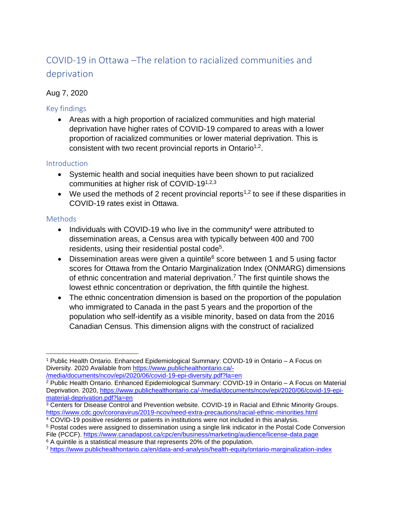# COVID-19 in Ottawa –The relation to racialized communities and deprivation

# Aug 7, 2020

# Key findings

• Areas with a high proportion of racialized communities and high material deprivation have higher rates of COVID-19 compared to areas with a lower proportion of racialized communities or lower material deprivation. This is consistent with two recent provincial reports in Ontario<sup>1,2</sup>.

# **Introduction**

- Systemic health and social inequities have been shown to put racialized communities at higher risk of COVID-191,2,3
- We used the methods of 2 recent provincial reports<sup>1,2</sup> to see if these disparities in COVID-19 rates exist in Ottawa.

# **Methods**

- Individuals with COVID-19 who live in the community<sup>4</sup> were attributed to dissemination areas, a Census area with typically between 400 and 700 residents, using their residential postal code<sup>5</sup>.
- Dissemination areas were given a quintile<sup>6</sup> score between 1 and 5 using factor scores for Ottawa from the Ontario Marginalization Index (ONMARG) dimensions of ethnic concentration and material deprivation. <sup>7</sup> The first quintile shows the lowest ethnic concentration or deprivation, the fifth quintile the highest.
- The ethnic concentration dimension is based on the proportion of the population who immigrated to Canada in the past 5 years and the proportion of the population who self-identify as a visible minority, based on data from the 2016 Canadian Census. This dimension aligns with the construct of racialized

<sup>1</sup> Public Health Ontario. Enhanced Epidemiological Summary: COVID-19 in Ontario – A Focus on Diversity. 2020 Available from [https://www.publichealthontario.ca/-](https://www.publichealthontario.ca/-/media/documents/ncov/epi/2020/06/covid-19-epi-diversity.pdf?la=en) [/media/documents/ncov/epi/2020/06/covid-19-epi-diversity.pdf?la=en](https://www.publichealthontario.ca/-/media/documents/ncov/epi/2020/06/covid-19-epi-diversity.pdf?la=en)

<sup>2</sup> Public Health Ontario. Enhanced Epidemiological Summary: COVID-19 in Ontario – A Focus on Material Deprivation. 2020, [https://www.publichealthontario.ca/-/media/documents/ncov/epi/2020/06/covid-19-epi](https://www.publichealthontario.ca/-/media/documents/ncov/epi/2020/06/covid-19-epi-material-deprivation.pdf?la=en)[material-deprivation.pdf?la=en](https://www.publichealthontario.ca/-/media/documents/ncov/epi/2020/06/covid-19-epi-material-deprivation.pdf?la=en)

<sup>3</sup> Centers for Disease Control and Prevention website. COVID-19 in Racial and Ethnic Minority Groups. <https://www.cdc.gov/coronavirus/2019-ncov/need-extra-precautions/racial-ethnic-minorities.html>

<sup>4</sup> COVID-19 positive residents or patients in institutions were not included in this analysis. <sup>5</sup> Postal codes were assigned to dissemination using a single link indicator in the Postal Code Conversion

File (PCCF). <https://www.canadapost.ca/cpc/en/business/marketing/audience/license-data.page> <sup>6</sup> A quintile is a statistical measure that represents 20% of the population.

<sup>7</sup> <https://www.publichealthontario.ca/en/data-and-analysis/health-equity/ontario-marginalization-index>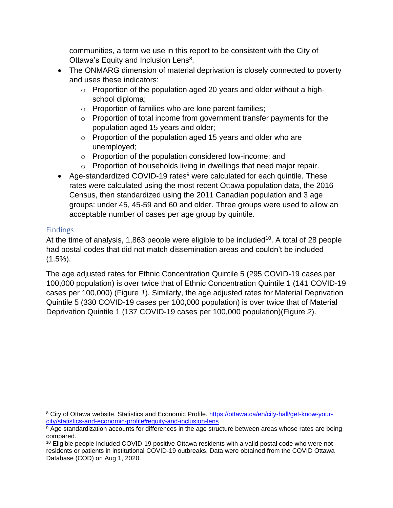communities, a term we use in this report to be consistent with the City of Ottawa's Equity and Inclusion Lens<sup>8</sup>.

- The ONMARG dimension of material deprivation is closely connected to poverty and uses these indicators:
	- $\circ$  Proportion of the population aged 20 years and older without a highschool diploma;
	- o Proportion of families who are lone parent families;
	- o Proportion of total income from government transfer payments for the population aged 15 years and older;
	- o Proportion of the population aged 15 years and older who are unemployed;
	- o Proportion of the population considered low-income; and
	- o Proportion of households living in dwellings that need major repair.
- Age-standardized COVID-19 rates<sup>9</sup> were calculated for each quintile. These rates were calculated using the most recent Ottawa population data, the 2016 Census, then standardized using the 2011 Canadian population and 3 age groups: under 45, 45-59 and 60 and older. Three groups were used to allow an acceptable number of cases per age group by quintile.

# Findings

At the time of analysis, 1,863 people were eligible to be included<sup>10</sup>. A total of 28 people had postal codes that did not match dissemination areas and couldn't be included  $(1.5\%)$ .

The age adjusted rates for Ethnic Concentration Quintile 5 (295 COVID-19 cases per 100,000 population) is over twice that of Ethnic Concentration Quintile 1 (141 COVID-19 cases per 100,000) [\(Figure](#page-2-0) *1*). Similarly, the age adjusted rates for Material Deprivation Quintile 5 (330 COVID-19 cases per 100,000 population) is over twice that of Material Deprivation Quintile 1 (137 COVID-19 cases per 100,000 population)[\(Figure](#page-3-0) *2*).

<sup>8</sup> City of Ottawa website. Statistics and Economic Profile. [https://ottawa.ca/en/city-hall/get-know-your](https://ottawa.ca/en/city-hall/get-know-your-city/statistics-and-economic-profile#equity-and-inclusion-lens)[city/statistics-and-economic-profile#equity-and-inclusion-lens](https://ottawa.ca/en/city-hall/get-know-your-city/statistics-and-economic-profile#equity-and-inclusion-lens)

<sup>&</sup>lt;sup>9</sup> Age standardization accounts for differences in the age structure between areas whose rates are being compared.

<sup>&</sup>lt;sup>10</sup> Eligible people included COVID-19 positive Ottawa residents with a valid postal code who were not residents or patients in institutional COVID-19 outbreaks. Data were obtained from the COVID Ottawa Database (COD) on Aug 1, 2020.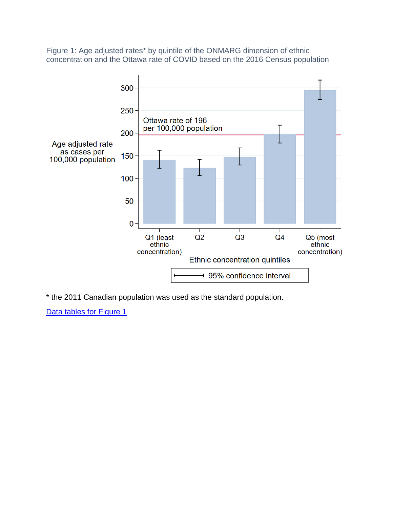<span id="page-2-0"></span>Figure 1: Age adjusted rates\* by quintile of the ONMARG dimension of ethnic concentration and the Ottawa rate of COVID based on the 2016 Census population



\* the 2011 Canadian population was used as the standard population.

[Data tables for Figure 1](#page-4-0)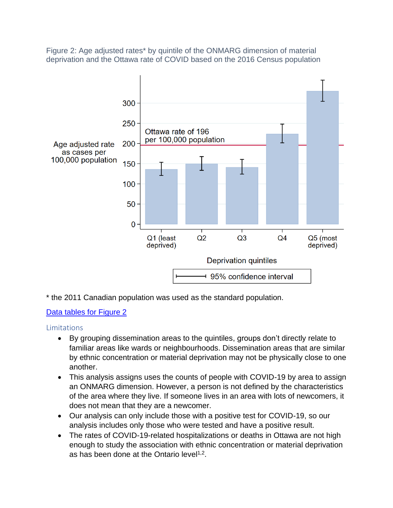<span id="page-3-0"></span>Figure 2: Age adjusted rates\* by quintile of the ONMARG dimension of material deprivation and the Ottawa rate of COVID based on the 2016 Census population



\* the 2011 Canadian population was used as the standard population.

# [Data tables for Figure 2](#page-4-1)

### Limitations

- By grouping dissemination areas to the quintiles, groups don't directly relate to familiar areas like wards or neighbourhoods. Dissemination areas that are similar by ethnic concentration or material deprivation may not be physically close to one another.
- This analysis assigns uses the counts of people with COVID-19 by area to assign an ONMARG dimension. However, a person is not defined by the characteristics of the area where they live. If someone lives in an area with lots of newcomers, it does not mean that they are a newcomer.
- Our analysis can only include those with a positive test for COVID-19, so our analysis includes only those who were tested and have a positive result.
- The rates of COVID-19-related hospitalizations or deaths in Ottawa are not high enough to study the association with ethnic concentration or material deprivation as has been done at the Ontario level<sup>1,2</sup>.